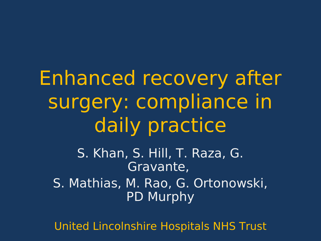Enhanced recovery after surgery: compliance in daily practice S. Khan, S. Hill, T. Raza, G. Gravante, S. Mathias, M. Rao, G. Ortonowski, PD Murphy

United Lincolnshire Hospitals NHS Trust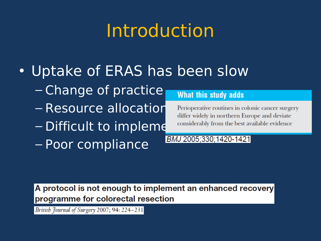# Introduction

- Uptake of ERAS has been slow
	- Change of practice
	- Resource allocation
	- Difficult to impleme considerably from the best available evidence
	- Poor compliance

#### What this study adds

Perioperative routines in colonic cancer surgery differ widely in northern Europe and deviate

#### BMJ 2005;330;1420-1421

A protocol is not enough to implement an enhanced recovery programme for colorectal resection

British Journal of Surgery 2007; 94: 224-231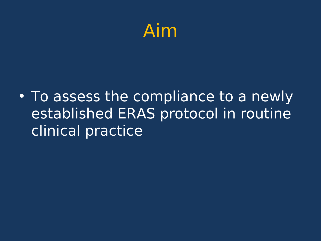

• To assess the compliance to a newly established ERAS protocol in routine clinical practice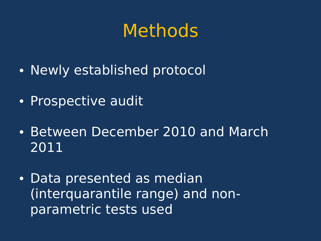### Methods

- Newly established protocol
- Prospective audit
- Between December 2010 and March 2011
- Data presented as median (interquarantile range) and nonparametric tests used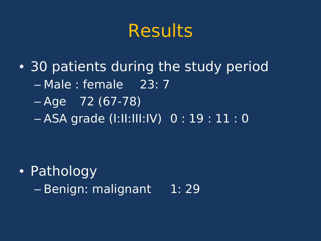### **Results**

• 30 patients during the study period – Male : female 23: 7 – Age 72 (67-78) – ASA grade (I:II:III:IV) 0 : 19 : 11 : 0

- Pathology
	- Benign: malignant 1: 29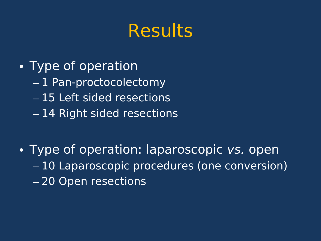## **Results**

- Type of operation
	- 1 Pan-proctocolectomy
	- 15 Left sided resections
	- 14 Right sided resections
- Type of operation: laparoscopic vs. open – 10 Laparoscopic procedures (one conversion) – 20 Open resections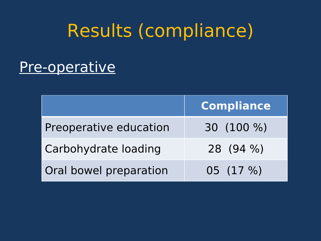### Results (compliance)

#### Pre-operative

|                        | <b>Compliance</b> |
|------------------------|-------------------|
| Preoperative education | 30 (100 %)        |
| Carbohydrate loading   | 28 (94 %)         |
| Oral bowel preparation | 05 (17 %)         |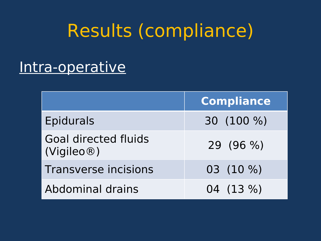## Results (compliance)

#### Intra-operative

|                                           | <b>Compliance</b> |
|-------------------------------------------|-------------------|
| <b>Epidurals</b>                          | 30 (100 %)        |
| <b>Goal directed fluids</b><br>(Vigileo@) | 29 (96 %)         |
| <b>Transverse incisions</b>               | 03 (10 %)         |
| Abdominal drains                          | 04 (13 %)         |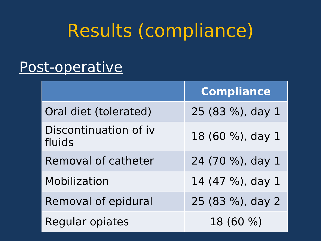## Results (compliance)

#### Post-operative

|                                 | <b>Compliance</b> |
|---------------------------------|-------------------|
| Oral diet (tolerated)           | 25 (83 %), day 1  |
| Discontinuation of iv<br>fluids | 18 (60 %), day 1  |
| Removal of catheter             | 24 (70 %), day 1  |
| Mobilization                    | 14 (47 %), day 1  |
| Removal of epidural             | 25 (83 %), day 2  |
| <b>Regular opiates</b>          | 18 (60 %)         |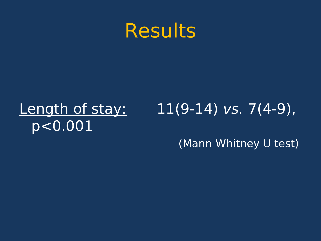

#### Length of stay: 11(9-14) vs. 7(4-9), p<0.001

(Mann Whitney U test)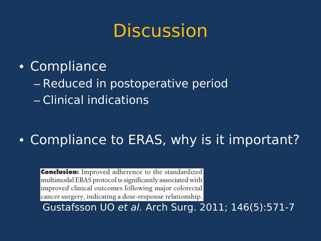### **Discussion**

- Compliance
	- Reduced in postoperative period
	- Clinical indications

#### • Compliance to ERAS, why is it important?

**Conclusion:** Improved adherence to the standardized multimodal ERAS protocol is significantly associated with improved clinical outcomes following major colorectal cancer surgery, indicating a dose-response relationship. Gustafsson UO et al. Arch Surg. 2011; 146(5):571-7